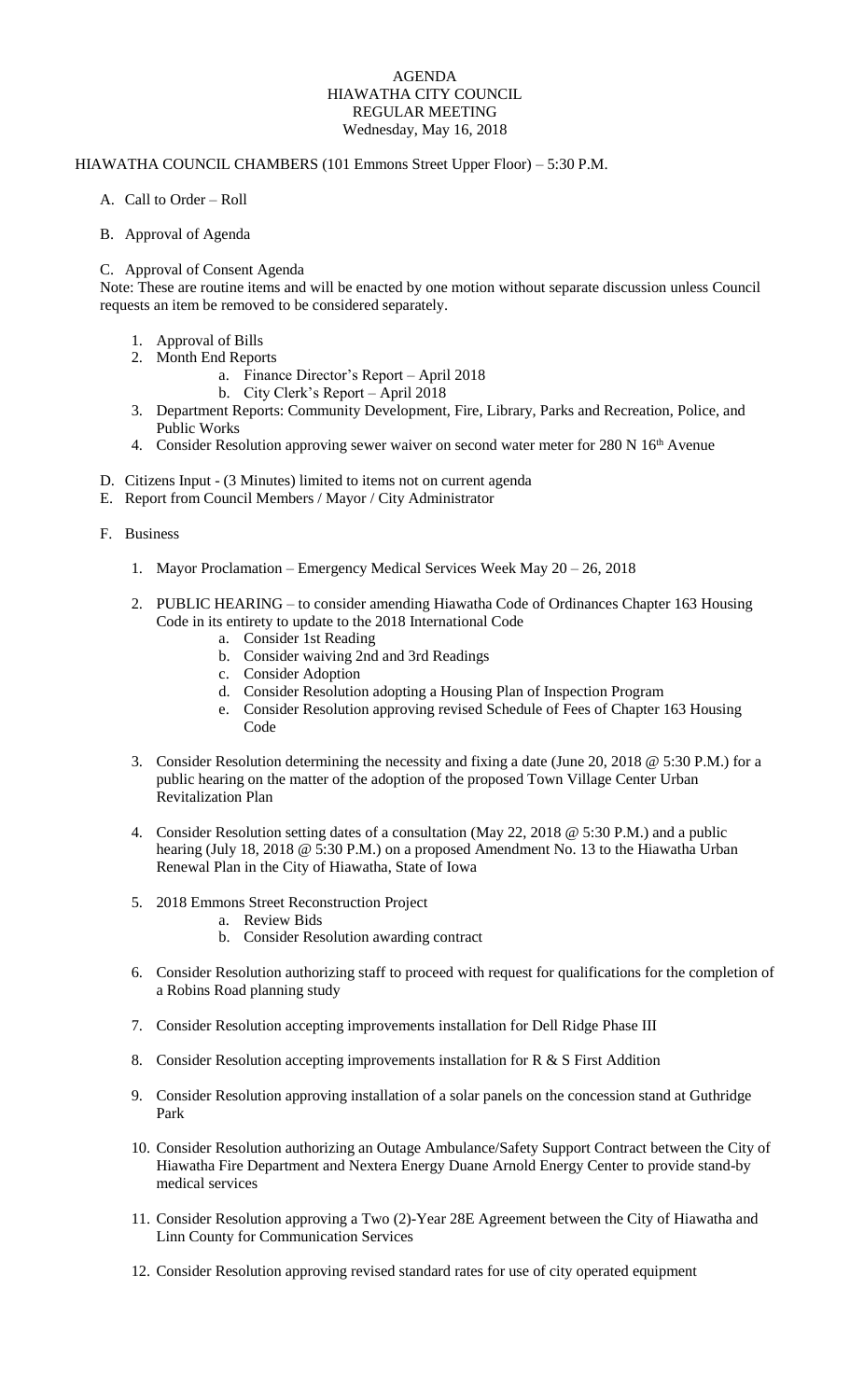## AGENDA HIAWATHA CITY COUNCIL REGULAR MEETING Wednesday, May 16, 2018

## HIAWATHA COUNCIL CHAMBERS (101 Emmons Street Upper Floor) – 5:30 P.M.

- A. Call to Order Roll
- B. Approval of Agenda

## C. Approval of Consent Agenda

Note: These are routine items and will be enacted by one motion without separate discussion unless Council requests an item be removed to be considered separately.

- 1. Approval of Bills
- 2. Month End Reports
	- a. Finance Director's Report April 2018
		- b. City Clerk's Report April 2018
- 3. Department Reports: Community Development, Fire, Library, Parks and Recreation, Police, and Public Works
- 4. Consider Resolution approving sewer waiver on second water meter for 280 N 16<sup>th</sup> Avenue
- D. Citizens Input (3 Minutes) limited to items not on current agenda
- E. Report from Council Members / Mayor / City Administrator
- F. Business
	- 1. Mayor Proclamation Emergency Medical Services Week May 20 26, 2018
	- 2. PUBLIC HEARING to consider amending Hiawatha Code of Ordinances Chapter 163 Housing Code in its entirety to update to the 2018 International Code
		- a. Consider 1st Reading
		- b. Consider waiving 2nd and 3rd Readings
		- c. Consider Adoption
		- d. Consider Resolution adopting a Housing Plan of Inspection Program
		- e. Consider Resolution approving revised Schedule of Fees of Chapter 163 Housing Code
	- 3. Consider Resolution determining the necessity and fixing a date (June 20, 2018 @ 5:30 P.M.) for a public hearing on the matter of the adoption of the proposed Town Village Center Urban Revitalization Plan
	- 4. Consider Resolution setting dates of a consultation (May 22, 2018 @ 5:30 P.M.) and a public hearing (July 18, 2018 @ 5:30 P.M.) on a proposed Amendment No. 13 to the Hiawatha Urban Renewal Plan in the City of Hiawatha, State of Iowa
	- 5. 2018 Emmons Street Reconstruction Project
		- a. Review Bids
			- b. Consider Resolution awarding contract
	- 6. Consider Resolution authorizing staff to proceed with request for qualifications for the completion of a Robins Road planning study
	- 7. Consider Resolution accepting improvements installation for Dell Ridge Phase III
	- 8. Consider Resolution accepting improvements installation for R & S First Addition
	- 9. Consider Resolution approving installation of a solar panels on the concession stand at Guthridge Park
	- 10. Consider Resolution authorizing an Outage Ambulance/Safety Support Contract between the City of Hiawatha Fire Department and Nextera Energy Duane Arnold Energy Center to provide stand-by medical services
	- 11. Consider Resolution approving a Two (2)-Year 28E Agreement between the City of Hiawatha and Linn County for Communication Services
	- 12. Consider Resolution approving revised standard rates for use of city operated equipment